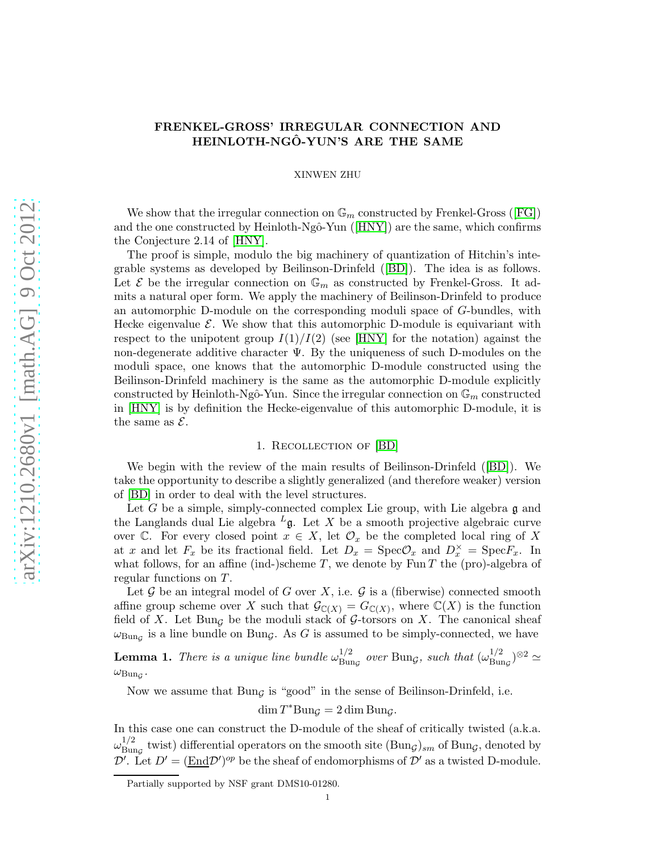# FRENKEL-GROSS' IRREGULAR CONNECTION AND HEINLOTH-NGÔ-YUN'S ARE THE SAME

### XINWEN ZHU

Weshow that the irregular connection on  $\mathbb{G}_m$  constructed by Frenkel-Gross ([\[FG\]](#page-5-0)) andthe one constructed by Heinloth-Ngô-Yun ( $[HNY]$ ) are the same, which confirms the Conjecture 2.14 of [\[HNY\]](#page-6-0).

The proof is simple, modulo the big machinery of quantization of Hitchin's integrable systems as developed by Beilinson-Drinfeld([\[BD\]](#page-5-1)). The idea is as follows. Let  $\mathcal E$  be the irregular connection on  $\mathbb G_m$  as constructed by Frenkel-Gross. It admits a natural oper form. We apply the machinery of Beilinson-Drinfeld to produce an automorphic D-module on the corresponding moduli space of G-bundles, with Hecke eigenvalue  $\mathcal{E}$ . We show that this automorphic D-module is equivariant with respect to the unipotent group  $I(1)/I(2)$  (see [\[HNY\]](#page-6-0) for the notation) against the non-degenerate additive character  $\Psi$ . By the uniqueness of such D-modules on the moduli space, one knows that the automorphic D-module constructed using the Beilinson-Drinfeld machinery is the same as the automorphic D-module explicitly constructed by Heinloth-Ngô-Yun. Since the irregular connection on  $\mathbb{G}_m$  constructed in [\[HNY\]](#page-6-0) is by definition the Hecke-eigenvalue of this automorphic D-module, it is the same as  $\mathcal{E}$ .

# 1. Recollection of [\[BD\]](#page-5-1)

<span id="page-0-0"></span>We begin with the review of the main results of Beilinson-Drinfeld([\[BD\]](#page-5-1)). We take the opportunity to describe a slightly generalized (and therefore weaker) version of [\[BD\]](#page-5-1) in order to deal with the level structures.

Let G be a simple, simply-connected complex Lie group, with Lie algebra  $\mathfrak g$  and the Langlands dual Lie algebra  $L_{\mathfrak{g}}$ . Let X be a smooth projective algebraic curve over C. For every closed point  $x \in X$ , let  $\mathcal{O}_x$  be the completed local ring of X at x and let  $F_x$  be its fractional field. Let  $D_x = \text{Spec} \mathcal{O}_x$  and  $D_x^{\times} = \text{Spec} F_x$ . In what follows, for an affine (ind-)scheme T, we denote by  $\text{Fun }T$  the (pro)-algebra of regular functions on T.

Let  $\mathcal G$  be an integral model of G over X, i.e.  $\mathcal G$  is a (fiberwise) connected smooth affine group scheme over X such that  $\mathcal{G}_{\mathbb{C}(X)} = G_{\mathbb{C}(X)}$ , where  $\mathbb{C}(X)$  is the function field of X. Let Bung be the moduli stack of G-torsors on X. The canonical sheaf  $\omega_{\text{Bung}}$  is a line bundle on Bung. As G is assumed to be simply-connected, we have

**Lemma 1.** There is a unique line bundle  $\omega_{\text{Bun}}^{1/2}$  $^{1/2}_{\text{Bung}}$  over Bung, such that  $(\omega_{\text{Bun}}^{1/2})$  $_{\operatorname{Bun}_{\mathcal{G}}})^{\otimes 2}\simeq$  $\omega_{\rm Bun_\mathcal{G}}$ .

Now we assume that  $Bun<sub>G</sub>$  is "good" in the sense of Beilinson-Drinfeld, i.e.

$$
\dim T^* \text{Bun}_{\mathcal{G}} = 2 \dim \text{Bun}_{\mathcal{G}}.
$$

In this case one can construct the D-module of the sheaf of critically twisted (a.k.a.  $\omega_{\rm{Bur}}^{1/2}$  $\frac{1}{B}$  twist) differential operators on the smooth site  $(Bun<sub>G</sub>)<sub>sm</sub>$  of Bung, denoted by  $\mathcal{D}'$ . Let  $D' = (\underline{\text{End}} \mathcal{D}')^{op}$  be the sheaf of endomorphisms of  $\mathcal{D}'$  as a twisted D-module.

Partially supported by NSF grant DMS10-01280.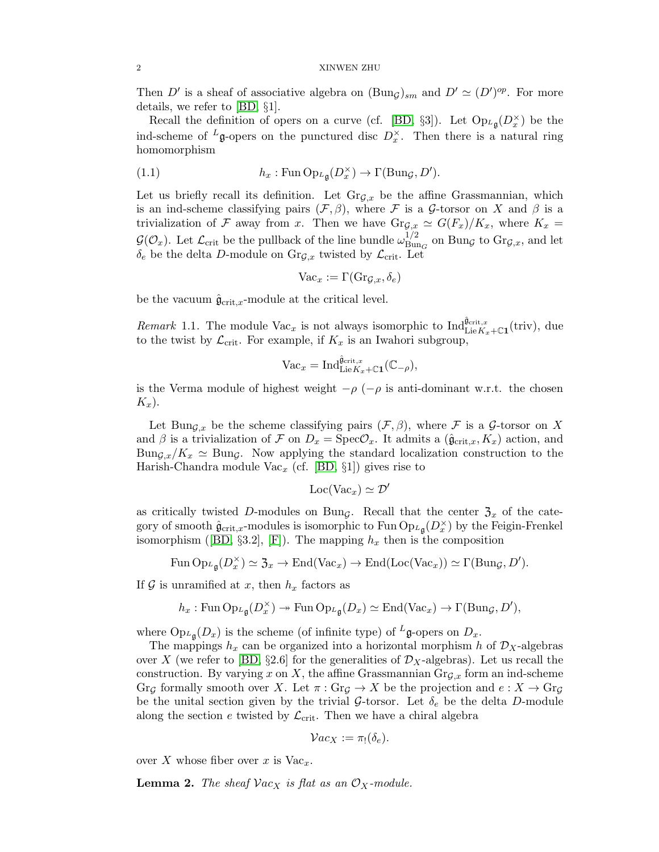Then D' is a sheaf of associative algebra on  $(\text{Bun}_\mathcal{G})_{sm}$  and  $D' \simeq (D')^{op}$ . For more details, we refer to [\[BD,](#page-5-1) §1].

Recall the definition of opers on a curve (cf. [\[BD,](#page-5-1) §3]). Let  $Op_{L}\left(D_x^{\times}\right)$  be the ind-scheme of <sup>L</sup>g-opers on the punctured disc  $D_x^{\times}$ . Then there is a natural ring homomorphism

(1.1) 
$$
h_x : \mathrm{Fun} \operatorname{Op}_{L_{\mathfrak{g}}}(D_x^{\times}) \to \Gamma(\mathrm{Bun}_{\mathcal{G}}, D').
$$

Let us briefly recall its definition. Let  $\text{Gr}_{G,x}$  be the affine Grassmannian, which is an ind-scheme classifying pairs  $(\mathcal{F}, \beta)$ , where  $\mathcal F$  is a G-torsor on X and  $\beta$  is a trivialization of F away from x. Then we have  $\text{Gr}_{\mathcal{G},x} \simeq G(F_x)/K_x$ , where  $K_x =$  $\mathcal{G}(\mathcal{O}_x)$ . Let  $\mathcal{L}_{\text{crit}}$  be the pullback of the line bundle  $\omega_{\text{Bun}}^{1/2}$  $\frac{1}{\text{Bun}_G}$  on Bung to  $\text{Gr}_{\mathcal{G},x}$ , and let  $\delta_e$  be the delta D-module on  $\text{Gr}_{\mathcal{G},x}$  twisted by  $\mathcal{L}_{\text{crit}}$ . Let

$$
\text{Vac}_x := \Gamma(\text{Gr}_{\mathcal{G},x},\delta_e)
$$

be the vacuum  $\hat{\mathfrak{g}}_{\mathrm{crit},x}$ -module at the critical level.

*Remark* 1.1. The module  $\text{Vac}_x$  is not always isomorphic to  $\text{Ind}_{\text{Lie} K_x + \mathbb{C}1}^{\hat{\mathfrak{g}}_{\text{crit},x}}(\text{triv})$ , due to the twist by  $\mathcal{L}_{\text{crit}}$ . For example, if  $K_x$  is an Iwahori subgroup,

$$
\text{Vac}_{x} = \text{Ind}_{\text{Lie}K_{x} + \mathbb{C}\mathbf{1}}^{\hat{\mathfrak{g}}_{\text{crit},x}}(\mathbb{C}_{-\rho}),
$$

is the Verma module of highest weight  $-\rho$  ( $-\rho$  is anti-dominant w.r.t. the chosen  $K_x$ ).

Let Bun<sub>G,x</sub> be the scheme classifying pairs  $(\mathcal{F}, \beta)$ , where  $\mathcal F$  is a G-torsor on X and  $\beta$  is a trivialization of F on  $D_x = \text{Spec} \mathcal{O}_x$ . It admits a  $(\hat{\mathfrak{g}}_{\text{crit},x}, K_x)$  action, and  $Bun_{\mathcal{G},x}/K_x \simeq Bun_{\mathcal{G}}$ . Now applying the standard localization construction to the Harish-Chandra module Vac<sub>x</sub> (cf. [\[BD,](#page-5-1)  $\S1$ ]) gives rise to

$$
\mathrm{Loc}(\mathrm{Vac}_x) \simeq \mathcal{D}'
$$

as critically twisted D-modules on Bung. Recall that the center  $\mathfrak{Z}_x$  of the category of smooth  $\hat{\mathfrak{g}}_{\text{crit},x}$ -modules is isomorphic to Fun  $\text{Op}_{{}^L\mathfrak{g}}(D_x^{\times})$  by the Feigin-Frenkel isomorphism([\[BD,](#page-5-1) §3.2], [\[F\]](#page-5-2)). The mapping  $h_x$  then is the composition

Fun 
$$
\text{Op}_{L\mathfrak{g}}(D_x^{\times}) \simeq \mathfrak{Z}_x \to \text{End}(\text{Vac}_x) \to \text{End}(\text{Loc}(\text{Vac}_x)) \simeq \Gamma(\text{Bun}_{\mathcal{G}}, D').
$$

If  $\mathcal G$  is unramified at x, then  $h_x$  factors as

$$
h_x: \mathrm{Fun} \operatorname{Op}_{\mathcal{L}_{\mathfrak{g}}}(D_x^{\times}) \twoheadrightarrow \mathrm{Fun} \operatorname{Op}_{\mathcal{L}_{\mathfrak{g}}}(D_x) \simeq \mathrm{End}(\mathrm{Vac}_x) \to \Gamma(\mathrm{Bun}_{\mathcal{G}}, D'),
$$

where  $\text{Op}_{L_{\mathfrak{g}}}(D_x)$  is the scheme (of infinite type) of  $L_{\mathfrak{g}}$ -opers on  $D_x$ .

The mappings  $h_x$  can be organized into a horizontal morphism h of  $\mathcal{D}_X$ -algebras over X (we refer to [\[BD,](#page-5-1)  $\S 2.6$ ] for the generalities of  $\mathcal{D}_X$ -algebras). Let us recall the construction. By varying x on X, the affine Grassmannian  $\text{Gr}_{\mathcal{G},x}$  form an ind-scheme  $G_{\Gamma G}$  formally smooth over X. Let  $\pi : Gr_G \to X$  be the projection and  $e : X \to Gr_G$ be the unital section given by the trivial G-torsor. Let  $\delta_e$  be the delta D-module along the section e twisted by  $\mathcal{L}_{\text{crit}}$ . Then we have a chiral algebra

$$
\mathcal{V}ac_X := \pi_!(\delta_e).
$$

over X whose fiber over x is  $\text{Vac}_x$ .

**Lemma 2.** The sheaf  $\mathcal{V}ac_X$  is flat as an  $\mathcal{O}_X$ -module.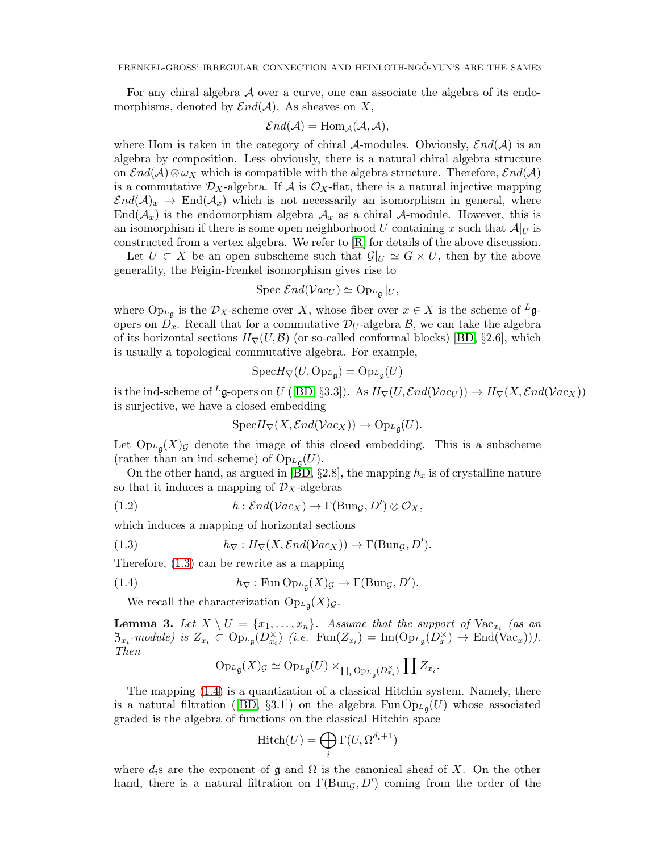For any chiral algebra A over a curve, one can associate the algebra of its endomorphisms, denoted by  $\mathcal{E}nd(\mathcal{A})$ . As sheaves on X,

$$
\mathcal{E}nd(\mathcal{A})=\text{Hom}_{\mathcal{A}}(\mathcal{A},\mathcal{A}),
$$

where Hom is taken in the category of chiral A-modules. Obviously,  $\mathcal{E}nd(\mathcal{A})$  is an algebra by composition. Less obviously, there is a natural chiral algebra structure on  $\mathcal{E}nd(\mathcal{A})\otimes \omega_X$  which is compatible with the algebra structure. Therefore,  $\mathcal{E}nd(\mathcal{A})$ is a commutative  $\mathcal{D}_X$ -algebra. If A is  $\mathcal{O}_X$ -flat, there is a natural injective mapping  $\mathcal{E}nd(\mathcal{A})_x \to \text{End}(\mathcal{A}_x)$  which is not necessarily an isomorphism in general, where  $\text{End}(\mathcal{A}_x)$  is the endomorphism algebra  $\mathcal{A}_x$  as a chiral A-module. However, this is an isomorphism if there is some open neighborhood U containing x such that  $\mathcal{A}|_U$  is constructed from a vertex algebra. We refer to [\[R\]](#page-6-1) for details of the above discussion.

Let  $U \subset X$  be an open subscheme such that  $\mathcal{G}|_U \simeq G \times U$ , then by the above generality, the Feigin-Frenkel isomorphism gives rise to

$$
Spec \ \mathcal{E}nd(\mathcal{V}ac_U) \simeq Op_{L_{\mathfrak{g}}}|_U,
$$

where  $Op_{L_g}$  is the  $\mathcal{D}_X$ -scheme over X, whose fiber over  $x \in X$  is the scheme of  $L_g$ opers on  $D_x$ . Recall that for a commutative  $\mathcal{D}_U$ -algebra  $\mathcal{B}$ , we can take the algebra of its horizontal sections  $H_{\nabla}(U,\mathcal{B})$  (or so-called conformal blocks) [\[BD,](#page-5-1) §2.6], which is usually a topological commutative algebra. For example,

$$
\text{Spec} H_{\nabla}(U, \text{Op}_{L_{\mathfrak{g}}}) = \text{Op}_{L_{\mathfrak{g}}}(U)
$$

is the ind-scheme of <sup>L</sup>g-opers on U ([\[BD,](#page-5-1) §3.3]). As  $H_{\nabla}(U, \mathcal{E}nd(\mathcal{V}ac_U)) \to H_{\nabla}(X, \mathcal{E}nd(\mathcal{V}ac_X))$ is surjective, we have a closed embedding

$$
Spec H_{\nabla}(X, \mathcal{E}nd(\mathcal{V}ac_X)) \to Op_{L\mathfrak{g}}(U).
$$

Let  $Op_{L_{\mathfrak{g}}}(X)_{\mathcal{G}}$  denote the image of this closed embedding. This is a subscheme (rather than an ind-scheme) of  $\mathrm{Op}_{L_{\mathfrak{g}}}(U)$ .

On the other hand, as argued in [\[BD,](#page-5-1)  $\S 2.8$ ], the mapping  $h_x$  is of crystalline nature so that it induces a mapping of  $\mathcal{D}_X$ -algebras

(1.2) 
$$
h: \mathcal{E}nd(\mathcal{V}ac_X) \to \Gamma(\text{Bun}_\mathcal{G}, D') \otimes \mathcal{O}_X,
$$

which induces a mapping of horizontal sections

<span id="page-2-0"></span>(1.3) 
$$
h_{\nabla}: H_{\nabla}(X, \mathcal{E}nd(\mathcal{V}ac_X)) \to \Gamma(\text{Bun}_{\mathcal{G}}, D').
$$

Therefore, [\(1.3\)](#page-2-0) can be rewrite as a mapping

(1.4) 
$$
h_{\nabla} : \operatorname{Fun} \operatorname{Op}_{L_{\mathfrak{g}}}(X)_{\mathcal{G}} \to \Gamma(\operatorname{Bun}_{\mathcal{G}}, D').
$$

We recall the characterization  $Op_{L\mathfrak{g}}(X)_{\mathcal{G}}$ .

**Lemma 3.** Let  $X \setminus U = \{x_1, \ldots, x_n\}$ . Assume that the support of  $\text{Vac}_{x_i}$  (as an  $\mathfrak{Z}_{x_i}$ -module) is  $Z_{x_i} \subset \text{Op}_{L_{\mathfrak{g}}}(D_{x_i}^{\times})$  (i.e.  $\text{Fun}(Z_{x_i}) = \text{Im}(\text{Op}_{L_{\mathfrak{g}}}(D_x^{\times}) \to \text{End}(\text{Vac}_x))).$ Then

<span id="page-2-1"></span>
$$
\mathrm{Op}_{L_{\mathfrak{g}}}(X)_{\mathcal{G}} \simeq \mathrm{Op}_{L_{\mathfrak{g}}}(U) \times_{\prod_{i} \mathrm{Op}_{L_{\mathfrak{g}}}(D_{x_i}^{\times})} \prod Z_{x_i}.
$$

The mapping [\(1.4\)](#page-2-1) is a quantization of a classical Hitchin system. Namely, there isa natural filtration ([\[BD,](#page-5-1)  $\S3.1$ ]) on the algebra Fun  $\text{Op}_{L_{\mathfrak{g}}}(U)$  whose associated graded is the algebra of functions on the classical Hitchin space

$$
Hitch(U) = \bigoplus_{i} \Gamma(U, \Omega^{d_i+1})
$$

where  $d_i$ s are the exponent of  $\mathfrak g$  and  $\Omega$  is the canonical sheaf of X. On the other hand, there is a natural filtration on  $\Gamma(\text{Bun}_\mathcal{G}, D')$  coming from the order of the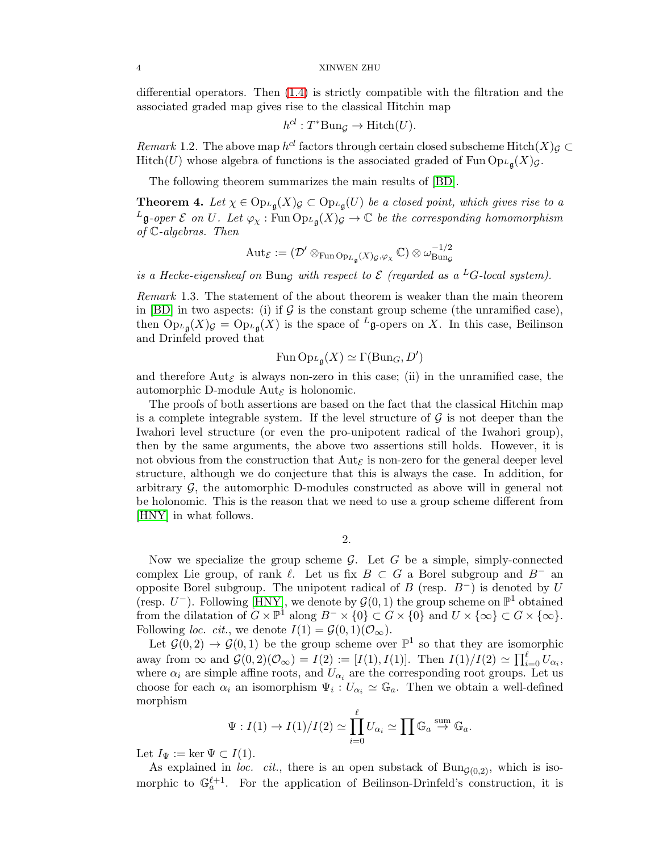#### 4 XINWEN ZHU

differential operators. Then [\(1.4\)](#page-2-1) is strictly compatible with the filtration and the associated graded map gives rise to the classical Hitchin map

$$
h^{cl}: T^* \text{Bun}_{\mathcal{G}} \to \text{Hitch}(U).
$$

Remark 1.2. The above map  $h^{cl}$  factors through certain closed subscheme Hitch $(X)$  $\subset$ Hitch(U) whose algebra of functions is the associated graded of Fun  $\text{Op}_{L\mathfrak{g}}(X)_{\mathcal{G}}$ .

The following theorem summarizes the main results of [\[BD\]](#page-5-1).

<span id="page-3-0"></span>**Theorem 4.** Let  $\chi \in \text{Op}_{L_{\mathfrak{g}}}(X)$   $\subset \text{Op}_{L_{\mathfrak{g}}}(U)$  be a closed point, which gives rise to a  $^L$ **g**-oper  $\mathcal E$  on  $U$ . Let  $\varphi_\chi$ : Fun  ${\rm Op}_{L,\mathfrak g}(X)$   $\varphi \to \mathbb C$  be the corresponding homomorphism of C-algebras. Then

$$
\operatorname{Aut}_{\mathcal{E}}:=(\mathcal{D}'\otimes_{\operatorname{Fun}\operatorname{Op}_{L_\mathfrak{g}}(X)_{\mathcal{G}},\varphi_\chi}\mathbb{C})\otimes\omega_{\operatorname{Bun}_{\mathcal{G}}}^{-1/2}
$$

is a Hecke-eigensheaf on Bung with respect to  $\mathcal E$  (regarded as a <sup>L</sup>G-local system).

Remark 1.3. The statement of the about theorem is weaker than the main theorem in [\[BD\]](#page-5-1) in two aspects: (i) if  $\mathcal G$  is the constant group scheme (the unramified case), then  $\text{Op}_{L_{\mathfrak{g}}}(X)_{\mathcal{G}} = \text{Op}_{L_{\mathfrak{g}}}(X)$  is the space of  $L_{\mathfrak{g}}$ -opers on X. In this case, Beilinson and Drinfeld proved that

$$
\operatorname{Fun}\operatorname{Op}_{\mathbb{Z}_\mathfrak{g}}(X)\simeq\Gamma(\operatorname{Bun}_G,D')
$$

and therefore  $\text{Aut}_{\mathcal{E}}$  is always non-zero in this case; (ii) in the unramified case, the automorphic D-module  $Aut_{\mathcal{E}}$  is holonomic.

The proofs of both assertions are based on the fact that the classical Hitchin map is a complete integrable system. If the level structure of  $\mathcal G$  is not deeper than the Iwahori level structure (or even the pro-unipotent radical of the Iwahori group), then by the same arguments, the above two assertions still holds. However, it is not obvious from the construction that  $Aut_{\mathcal{E}}$  is non-zero for the general deeper level structure, although we do conjecture that this is always the case. In addition, for arbitrary  $\mathcal{G}$ , the automorphic D-modules constructed as above will in general not be holonomic. This is the reason that we need to use a group scheme different from [\[HNY\]](#page-6-0) in what follows.

2.

Now we specialize the group scheme  $G$ . Let G be a simple, simply-connected complex Lie group, of rank  $\ell$ . Let us fix  $B \subset G$  a Borel subgroup and  $B^-$  and opposite Borel subgroup. The unipotent radical of B (resp.  $B^-$ ) is denoted by U (resp.  $U^-$ ). Following [\[HNY\]](#page-6-0), we denote by  $\mathcal{G}(0,1)$  the group scheme on  $\mathbb{P}^1$  obtained from the dilatation of  $G \times \mathbb{P}^1$  along  $B^- \times \{0\} \subset G \times \{0\}$  and  $U \times \{\infty\} \subset G \times \{\infty\}.$ Following *loc.* cit., we denote  $I(1) = \mathcal{G}(0, 1)(\mathcal{O}_{\infty})$ .

Let  $\mathcal{G}(0,2) \to \mathcal{G}(0,1)$  be the group scheme over  $\mathbb{P}^1$  so that they are isomorphic away from  $\infty$  and  $\mathcal{G}(0, 2)(\mathcal{O}_{\infty}) = I(2) := [I(1), I(1)].$  Then  $I(1)/I(2) \simeq \prod_{i=0}^{\ell} U_{\alpha_i}$ , where  $\alpha_i$  are simple affine roots, and  $U_{\alpha_i}$  are the corresponding root groups. Let us choose for each  $\alpha_i$  an isomorphism  $\Psi_i: U_{\alpha_i} \simeq \mathbb{G}_a$ . Then we obtain a well-defined morphism

$$
\Psi: I(1) \to I(1)/I(2) \simeq \prod_{i=0}^{\ell} U_{\alpha_i} \simeq \prod \mathbb{G}_a \stackrel{\text{sum}}{\to} \mathbb{G}_a.
$$

Let  $I_{\Psi} := \ker \Psi \subset I(1)$ .

As explained in loc. cit., there is an open substack of  $Bun_{G(0,2)}$ , which is isomorphic to  $\mathbb{G}_a^{\ell+1}$ . For the application of Beilinson-Drinfeld's construction, it is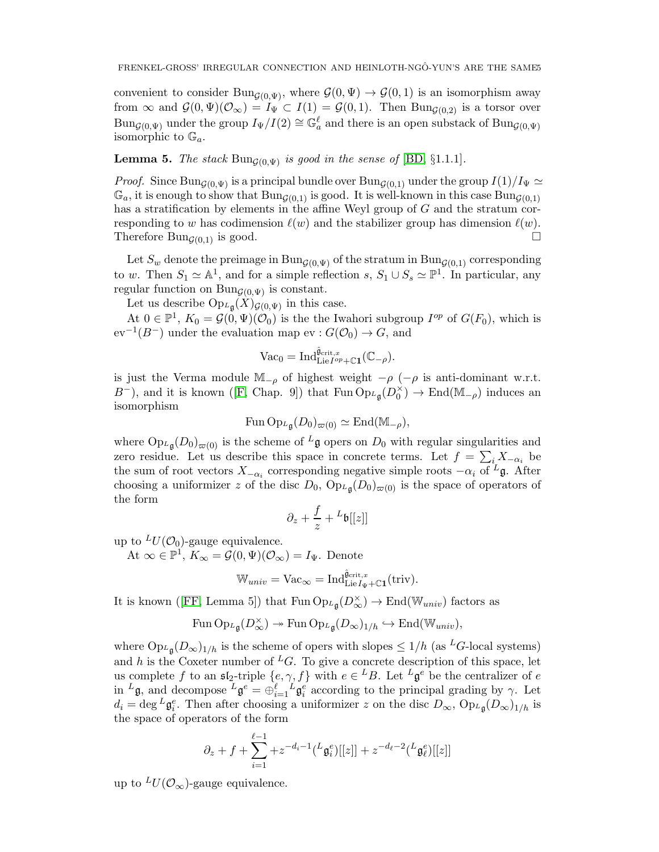convenient to consider Bun<sub> $\mathcal{G}(0,\Psi)$ </sub>, where  $\mathcal{G}(0,\Psi) \to \mathcal{G}(0,1)$  is an isomorphism away from  $\infty$  and  $\mathcal{G}(0,\Psi)(\mathcal{O}_{\infty})=I_{\Psi}\subset I(1)=\mathcal{G}(0,1)$ . Then  $\text{Bun}_{\mathcal{G}(0,2)}$  is a torsor over  $\text{Bun}_{\mathcal{G}(0,\Psi)}$  under the group  $I_{\Psi}/I(2) \cong \mathbb{G}_a^{\ell}$  and there is an open substack of  $\text{Bun}_{\mathcal{G}(0,\Psi)}$ isomorphic to  $\mathbb{G}_a$ .

**Lemma 5.** The stack  $\text{Bun}_{\mathcal{G}(0,\Psi)}$  is good in the sense of  $[\text{BD}, \S 1.1.1]$ .

*Proof.* Since Bun<sub>G(0, $\Psi$ ) is a principal bundle over Bun<sub>G(0,1)</sub> under the group  $I(1)/I_{\Psi} \simeq$ </sub>  $\mathbb{G}_a$ , it is enough to show that  $\text{Bun}_{\mathcal{G}(0,1)}$  is good. It is well-known in this case  $\text{Bun}_{\mathcal{G}(0,1)}$ has a stratification by elements in the affine Weyl group of G and the stratum corresponding to w has codimension  $\ell(w)$  and the stabilizer group has dimension  $\ell(w)$ . Therefore Bun<sub>G(0,1)</sub> is good.  $\square$ 

Let  $S_w$  denote the preimage in  $\text{Bun}_{G(0,\Psi)}$  of the stratum in  $\text{Bun}_{G(0,1)}$  corresponding to w. Then  $S_1 \simeq \mathbb{A}^1$ , and for a simple reflection s,  $S_1 \cup S_s \simeq \mathbb{P}^1$ . In particular, any regular function on  $Bun_{G(0,\Psi)}$  is constant.

Let us describe  $\text{Op}_{L_{\mathfrak{g}}}(X)_{\mathcal{G}(0,\Psi)}$  in this case.

At  $0 \in \mathbb{P}^1$ ,  $K_0 = \mathcal{G}(0, \Psi)(\mathcal{O}_0)$  is the the Iwahori subgroup  $I^{op}$  of  $G(F_0)$ , which is  $ev^{-1}(B^-)$  under the evaluation map  $ev : G(\mathcal{O}_0) \to G$ , and

$$
\text{Vac}_0 = \text{Ind}_{\text{Lie}I^{op} + \mathbb{C} \mathbf{1}}^{\hat{\mathfrak{g}}_{\text{crit},x}}(\mathbb{C}_{-\rho}).
$$

is just the Verma module  $\mathbb{M}_{-\rho}$  of highest weight  $-\rho$  ( $-\rho$  is anti-dominant w.r.t.  $B^-$ ),and it is known ([\[F,](#page-5-2) Chap. 9]) that Fun  $\text{Op}_{L\mathfrak{g}}(D_0^{\times})$  $\binom{\times}{0}$   $\rightarrow$  End(M<sub>- $\rho$ </sub>) induces an isomorphism

$$
\mathrm{Fun} \operatorname{Op}_{\mathcal{L}_{\mathfrak{g}}}(D_0)_{\varpi(0)} \simeq \mathrm{End}(\mathbb{M}_{-\rho}),
$$

where  $Op_{L\mathfrak{g}}(D_0)_{\varpi(0)}$  is the scheme of  $L\mathfrak{g}$  opers on  $D_0$  with regular singularities and zero residue. Let us describe this space in concrete terms. Let  $f = \sum_{i} X_{-\alpha_i}$  be the sum of root vectors  $X_{-\alpha_i}$  corresponding negative simple roots  $-\alpha_i$  of <sup>L</sup>g. After choosing a uniformizer z of the disc  $D_0$ ,  $Op_{L}\left(\frac{D_0}{\varphi(0)}\right)$  is the space of operators of the form

$$
\partial_z + \frac{f}{z} + {}^L\mathfrak{b}[[z]]
$$

up to  $^{L}U(\mathcal{O}_{0})$ -gauge equivalence.

At  $\infty \in \mathbb{P}^1$ ,  $K_{\infty} = \mathcal{G}(0, \Psi)(\mathcal{O}_{\infty}) = I_{\Psi}$ . Denote

$$
\mathbb{W}_{univ} = \text{Vac}_{\infty} = \text{Ind}_{\text{Lie}I_{\Psi} + \mathbb{C}1}^{\hat{\mathfrak{g}}_{\text{crit},x}}(\text{triv}).
$$

Itis known ([\[FF,](#page-5-3) Lemma 5]) that Fun  $\mathrm{Op}_{L\mathfrak{g}}(D^{\times}_{\infty}) \to \mathrm{End}(\mathbb{W}_{univ})$  factors as

$$
\operatorname{Fun} \operatorname{Op}_{\mathcal{L}_{\mathfrak{g}}}(D^{\times}_{\infty}) \twoheadrightarrow \operatorname{Fun} \operatorname{Op}_{\mathcal{L}_{\mathfrak{g}}}(D_{\infty})_{1/h} \hookrightarrow \operatorname{End}(\mathbb{W}_{univ}),
$$

where  $\text{Op}_{L_{\mathfrak{g}}}(D_{\infty})_{1/h}$  is the scheme of opers with slopes  $\leq 1/h$  (as <sup>L</sup>G-local systems) and h is the Coxeter number of <sup>L</sup>G. To give a concrete description of this space, let us complete f to an  $\mathfrak{sl}_2$ -triple  $\{e, \gamma, f\}$  with  $e \in {}^L B$ . Let  ${}^L \mathfrak{g}^e$  be the centralizer of  $e$ in  ${}^L\mathfrak{g}$ , and decompose  ${}^L\mathfrak{g}^e = \bigoplus_{i=1}^\ell L\mathfrak{g}^e_i$  according to the principal grading by  $\gamma$ . Let  $d_i = \deg^L \mathfrak{g}_i^e$ . Then after choosing a uniformizer z on the disc  $D_{\infty}$ ,  $\text{Op}_{L_{\mathfrak{g}}}(D_{\infty})_{1/h}$  is the space of operators of the form

$$
\partial_z + f + \sum_{i=1}^{\ell-1} + z^{-d_i - 1} \left( \frac{L}{\mathfrak{g}_i^e} \right) [[z]] + z^{-d_\ell - 2} \left( \frac{L}{\mathfrak{g}_\ell^e} \right) [[z]]
$$

up to  $^{L}U(\mathcal{O}_{\infty})$ -gauge equivalence.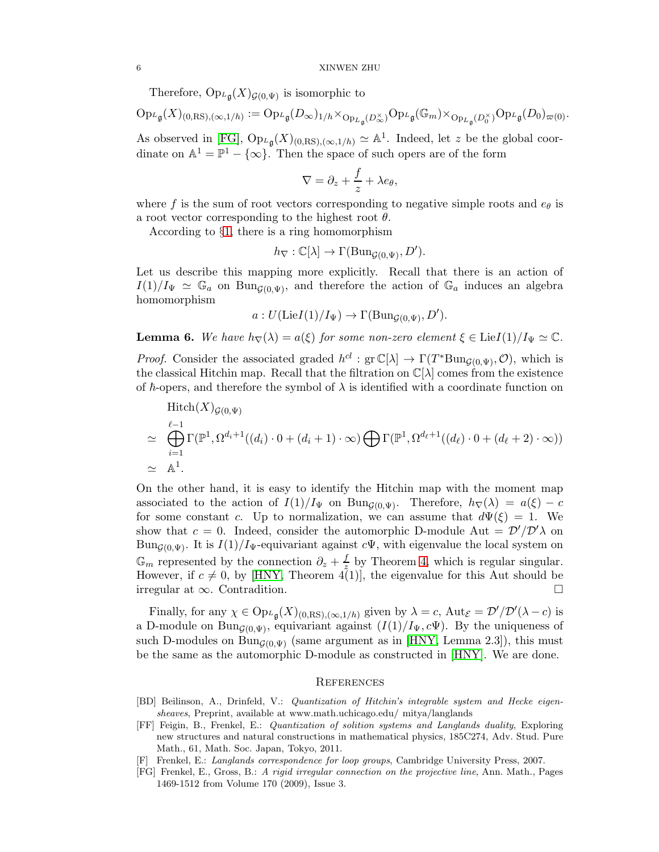Therefore,  $Op_{L}\left( X\right) _{\mathcal{G}\left( 0,\Psi\right) }$  is isomorphic to

$$
{\rm Op}_{{}^L\mathfrak{g}}(X)_{(0,{\rm RS}),(\infty,1/h)}:={\rm Op}_{{}^L\mathfrak{g}}(D_\infty)_{1/h}\times_{{\rm Op}_{{}^L\mathfrak{g}}(D_\infty^{\times})}{\rm Op}_{{}^L\mathfrak{g}}(\mathbb{G}_m)\times_{{\rm Op}_{{}^L\mathfrak{g}}(D_0^{\times})}{\rm Op}_{{}^L\mathfrak{g}}(D_0)_{\varpi(0)}.
$$

As observed in [\[FG\]](#page-5-0),  $Op_{L\mathfrak{g}}(X)_{(0,\text{RS}),(\infty,1/h)} \simeq \mathbb{A}^1$ . Indeed, let z be the global coordinate on  $\mathbb{A}^1 = \mathbb{P}^1 - \{\infty\}$ . Then the space of such opers are of the form

$$
\nabla = \partial_z + \frac{f}{z} + \lambda e_\theta,
$$

where f is the sum of root vectors corresponding to negative simple roots and  $e_{\theta}$  is a root vector corresponding to the highest root  $\theta$ .

According to §[1,](#page-0-0) there is a ring homomorphism

$$
h_{\nabla} : \mathbb{C}[\lambda] \to \Gamma(\mathrm{Bun}_{\mathcal{G}(0,\Psi)}, D').
$$

Let us describe this mapping more explicitly. Recall that there is an action of  $I(1)/I_{\Psi} \simeq \mathbb{G}_a$  on Bun<sub>G(0, $\Psi$ )</sub>, and therefore the action of  $\mathbb{G}_a$  induces an algebra homomorphism

$$
a: U(\text{Lie}I(1)/I_{\Psi}) \to \Gamma(\text{Bun}_{\mathcal{G}(0,\Psi)}, D').
$$

**Lemma 6.** We have  $h_{\nabla}(\lambda) = a(\xi)$  for some non-zero element  $\xi \in \text{Lie}I(1)/I_{\Psi} \simeq \mathbb{C}$ .

*Proof.* Consider the associated graded  $h^{cl}$ : gr  $\mathbb{C}[\lambda] \to \Gamma(T^* \text{Bun}_{\mathcal{G}(0,\Psi)}, \mathcal{O})$ , which is the classical Hitchin map. Recall that the filtration on  $\mathbb{C}[\lambda]$  comes from the existence of  $\hbar$ -opers, and therefore the symbol of  $\lambda$  is identified with a coordinate function on

$$
\begin{aligned}\n\text{Hitch}(X)_{\mathcal{G}(0,\Psi)}\\ \simeq \bigoplus_{i=1}^{\ell-1} \Gamma(\mathbb{P}^1, \Omega^{d_i+1}((d_i)\cdot 0 + (d_i+1)\cdot \infty) \bigoplus \Gamma(\mathbb{P}^1, \Omega^{d_\ell+1}((d_\ell)\cdot 0 + (d_\ell+2)\cdot \infty))\\ \simeq \mathbb{A}^1.\n\end{aligned}
$$

On the other hand, it is easy to identify the Hitchin map with the moment map associated to the action of  $I(1)/I_{\Psi}$  on Bun<sub>G(0,Ψ)</sub>. Therefore,  $h_{\nabla}(\lambda) = a(\xi) - c$ for some constant c. Up to normalization, we can assume that  $d\Psi(\xi) = 1$ . We show that  $c = 0$ . Indeed, consider the automorphic D-module Aut =  $\mathcal{D}'/\mathcal{D}'\lambda$  on Bun<sub> $G(0, \Psi)$ </sub>. It is  $I(1)/I_{\Psi}$ -equivariant against  $c\Psi$ , with eigenvalue the local system on  $\mathbb{G}_m$  represented by the connection  $\partial_z + \frac{f}{z}$  $\frac{J}{z}$  by Theorem [4,](#page-3-0) which is regular singular. However, if  $c \neq 0$ , by [\[HNY,](#page-6-0) Theorem 4(1)], the eigenvalue for this Aut should be irregular at ∞. Contradition.

Finally, for any  $\chi \in \text{Op}_{L_{\mathfrak{g}}}(X)_{(0,\text{RS}),(\infty,1/h)}$  given by  $\lambda = c$ ,  $\text{Aut}_{\mathcal{E}} = \mathcal{D}'/\mathcal{D}'(\lambda - c)$  is a D-module on Bun<sub>G(0,Ψ)</sub>, equivariant against  $(I(1)/I_{\Psi}, c\Psi)$ . By the uniqueness of such D-modules on Bun<sub>G(0</sub> $_{\rm W}$ ) (same argument as in [\[HNY,](#page-6-0) Lemma 2.3]), this must be the same as the automorphic D-module as constructed in [\[HNY\]](#page-6-0). We are done.

## **REFERENCES**

- <span id="page-5-1"></span>[BD] Beilinson, A., Drinfeld, V.: Quantization of Hitchin's integrable system and Hecke eigensheaves, Preprint, available at www.math.uchicago.edu/ mitya/langlands
- <span id="page-5-3"></span>[FF] Feigin, B., Frenkel, E.: Quantization of solition systems and Langlands duality, Exploring new structures and natural constructions in mathematical physics, 185C274, Adv. Stud. Pure Math., 61, Math. Soc. Japan, Tokyo, 2011.
- <span id="page-5-2"></span>[F] Frenkel, E.: Langlands correspondence for loop groups, Cambridge University Press, 2007.
- <span id="page-5-0"></span>[FG] Frenkel, E., Gross, B.: A rigid irregular connection on the projective line, Ann. Math., Pages 1469-1512 from Volume 170 (2009), Issue 3.